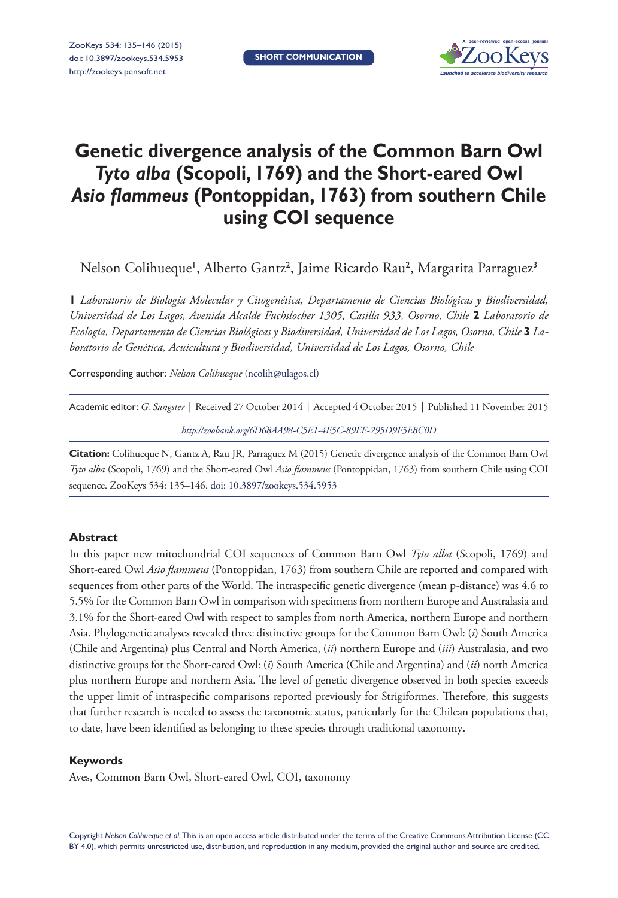

# **Genetic divergence analysis of the Common Barn Owl**  *Tyto alba* **(Scopoli, 1769) and the Short-eared Owl**  *Asio flammeus* **(Pontoppidan, 1763) from southern Chile using COI sequence**

Nelson Colihueque', Alberto Gantz<sup>2</sup>, Jaime Ricardo Rau<sup>2</sup>, Margarita Parraguez<sup>3</sup>

**1** *Laboratorio de Biología Molecular y Citogenética, Departamento de Ciencias Biológicas y Biodiversidad, Universidad de Los Lagos, Avenida Alcalde Fuchslocher 1305, Casilla 933, Osorno, Chile* **2** *Laboratorio de Ecología, Departamento de Ciencias Biológicas y Biodiversidad, Universidad de Los Lagos, Osorno, Chile* **3** *Laboratorio de Genética, Acuicultura y Biodiversidad, Universidad de Los Lagos, Osorno, Chile*

Corresponding author: *Nelson Colihueque* ([ncolih@ulagos.cl](mailto:ncolih@ulagos.cl))

| Academic editor: G. Sangster   Received 27 October 2014   Accepted 4 October 2015   Published 11 November 2015 |
|----------------------------------------------------------------------------------------------------------------|
| http://zoobank.org/6D68AA98-C5E1-4E5C-89EE-295D9F5E8C0D                                                        |

**Citation:** Colihueque N, Gantz A, Rau JR, Parraguez M (2015) Genetic divergence analysis of the Common Barn Owl *Tyto alba* (Scopoli, 1769) and the Short-eared Owl *Asio flammeus* (Pontoppidan, 1763) from southern Chile using COI sequence. ZooKeys 534: 135–146. [doi: 10.3897/zookeys.534.5953](http://dx.doi.org/10.3897/zookeys.534.5953)

#### **Abstract**

In this paper new mitochondrial COI sequences of Common Barn Owl *Tyto alba* (Scopoli, 1769) and Short-eared Owl *Asio flammeus* (Pontoppidan, 1763) from southern Chile are reported and compared with sequences from other parts of the World. The intraspecific genetic divergence (mean p-distance) was 4.6 to 5.5% for the Common Barn Owl in comparison with specimens from northern Europe and Australasia and 3.1% for the Short-eared Owl with respect to samples from north America, northern Europe and northern Asia. Phylogenetic analyses revealed three distinctive groups for the Common Barn Owl: (*i*) South America (Chile and Argentina) plus Central and North America, (*ii*) northern Europe and (*iii*) Australasia, and two distinctive groups for the Short-eared Owl: (*i*) South America (Chile and Argentina) and (*ii*) north America plus northern Europe and northern Asia. The level of genetic divergence observed in both species exceeds the upper limit of intraspecific comparisons reported previously for Strigiformes. Therefore, this suggests that further research is needed to assess the taxonomic status, particularly for the Chilean populations that, to date, have been identified as belonging to these species through traditional taxonomy.

#### **Keywords**

Aves, Common Barn Owl, Short-eared Owl, COI, taxonomy

Copyright *Nelson Colihueque et al.* This is an open access article distributed under the terms of the [Creative Commons Attribution License \(CC](http://creativecommons.org/licenses/by/4.0/)  [BY 4.0\)](http://creativecommons.org/licenses/by/4.0/), which permits unrestricted use, distribution, and reproduction in any medium, provided the original author and source are credited.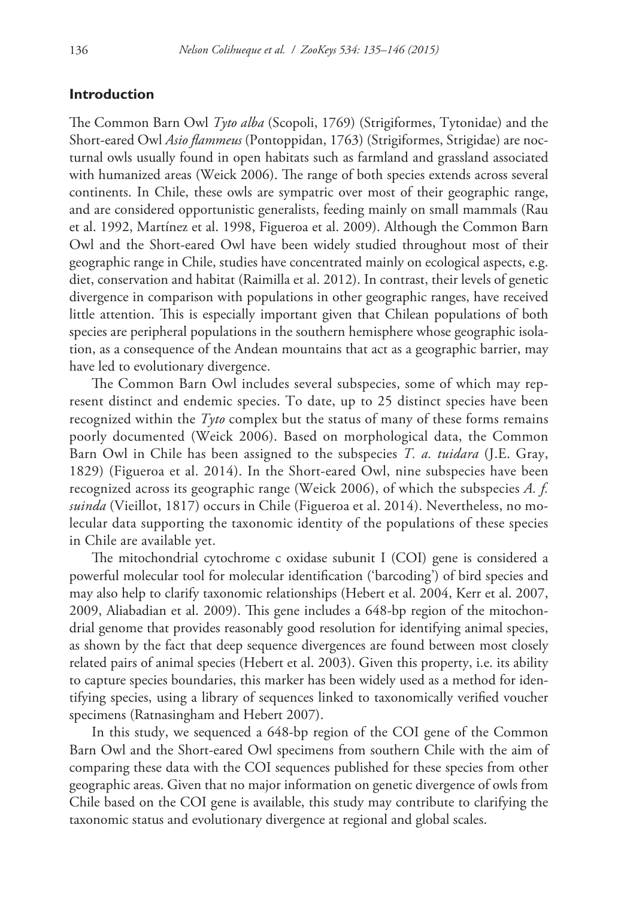## **Introduction**

The Common Barn Owl *Tyto alba* (Scopoli, 1769) (Strigiformes, Tytonidae) and the Short-eared Owl *Asio flammeus* (Pontoppidan, 1763) (Strigiformes, Strigidae) are nocturnal owls usually found in open habitats such as farmland and grassland associated with humanized areas (Weick 2006). The range of both species extends across several continents. In Chile, these owls are sympatric over most of their geographic range, and are considered opportunistic generalists, feeding mainly on small mammals (Rau et al. 1992, Martínez et al. 1998, Figueroa et al. 2009). Although the Common Barn Owl and the Short-eared Owl have been widely studied throughout most of their geographic range in Chile, studies have concentrated mainly on ecological aspects, e.g. diet, conservation and habitat (Raimilla et al. 2012). In contrast, their levels of genetic divergence in comparison with populations in other geographic ranges, have received little attention. This is especially important given that Chilean populations of both species are peripheral populations in the southern hemisphere whose geographic isolation, as a consequence of the Andean mountains that act as a geographic barrier, may have led to evolutionary divergence.

The Common Barn Owl includes several subspecies, some of which may represent distinct and endemic species. To date, up to 25 distinct species have been recognized within the *Tyto* complex but the status of many of these forms remains poorly documented (Weick 2006). Based on morphological data, the Common Barn Owl in Chile has been assigned to the subspecies *T. a. tuidara* (J.E. Gray, 1829) (Figueroa et al. 2014). In the Short-eared Owl, nine subspecies have been recognized across its geographic range (Weick 2006), of which the subspecies *A. f. suinda* (Vieillot, 1817) occurs in Chile (Figueroa et al. 2014). Nevertheless, no molecular data supporting the taxonomic identity of the populations of these species in Chile are available yet.

The mitochondrial cytochrome c oxidase subunit I (COI) gene is considered a powerful molecular tool for molecular identification ('barcoding') of bird species and may also help to clarify taxonomic relationships (Hebert et al. 2004, Kerr et al. 2007, 2009, Aliabadian et al. 2009). This gene includes a 648-bp region of the mitochondrial genome that provides reasonably good resolution for identifying animal species, as shown by the fact that deep sequence divergences are found between most closely related pairs of animal species (Hebert et al. 2003). Given this property, i.e. its ability to capture species boundaries, this marker has been widely used as a method for identifying species, using a library of sequences linked to taxonomically verified voucher specimens (Ratnasingham and Hebert 2007).

In this study, we sequenced a 648-bp region of the COI gene of the Common Barn Owl and the Short-eared Owl specimens from southern Chile with the aim of comparing these data with the COI sequences published for these species from other geographic areas. Given that no major information on genetic divergence of owls from Chile based on the COI gene is available, this study may contribute to clarifying the taxonomic status and evolutionary divergence at regional and global scales.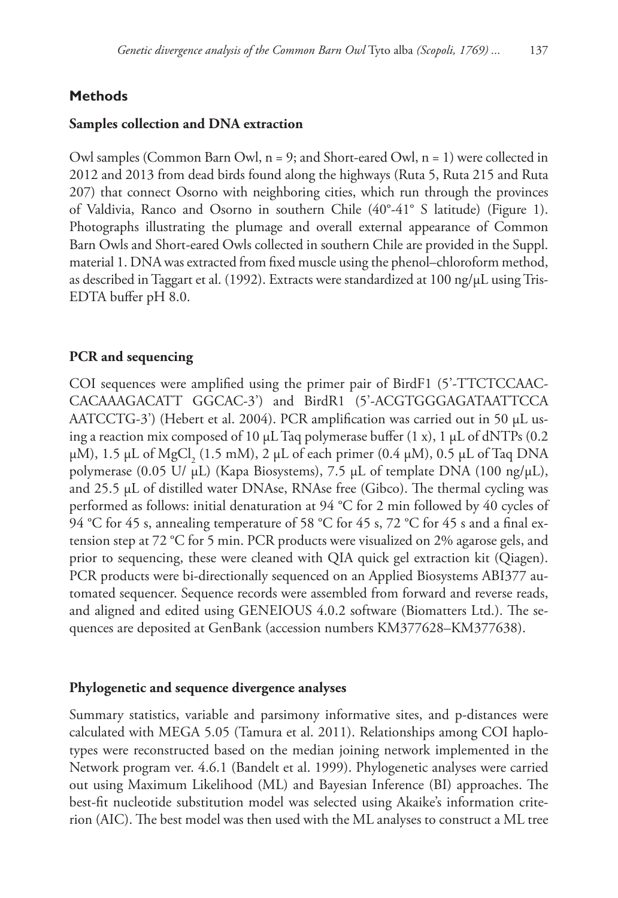# **Methods**

# **Samples collection and DNA extraction**

Owl samples (Common Barn Owl,  $n = 9$ ; and Short-eared Owl,  $n = 1$ ) were collected in 2012 and 2013 from dead birds found along the highways (Ruta 5, Ruta 215 and Ruta 207) that connect Osorno with neighboring cities, which run through the provinces of Valdivia, Ranco and Osorno in southern Chile (40°-41° S latitude) (Figure 1). Photographs illustrating the plumage and overall external appearance of Common Barn Owls and Short-eared Owls collected in southern Chile are provided in the Suppl. material 1. DNA was extracted from fixed muscle using the phenol–chloroform method, as described in Taggart et al. (1992). Extracts were standardized at 100 ng/µL using Tris-EDTA buffer pH 8.0.

# **PCR and sequencing**

COI sequences were amplified using the primer pair of BirdF1 (5'-TTCTCCAAC-CACAAAGACATT GGCAC-3') and BirdR1 (5'-ACGTGGGAGATAATTCCA AATCCTG-3') (Hebert et al. 2004). PCR amplification was carried out in 50  $\mu$ L using a reaction mix composed of 10  $\mu$ L Taq polymerase buffer (1 x), 1  $\mu$ L of dNTPs (0.2  $\mu$ M), 1.5  $\mu$ L of MgCl<sub>2</sub> (1.5 mM), 2  $\mu$ L of each primer (0.4  $\mu$ M), 0.5  $\mu$ L of Taq DNA polymerase (0.05 U/  $\mu$ L) (Kapa Biosystems), 7.5  $\mu$ L of template DNA (100 ng/ $\mu$ L), and 25.5 µL of distilled water DNAse, RNAse free (Gibco). The thermal cycling was performed as follows: initial denaturation at 94 °C for 2 min followed by 40 cycles of 94 °C for 45 s, annealing temperature of 58 °C for 45 s, 72 °C for 45 s and a final extension step at 72 °C for 5 min. PCR products were visualized on 2% agarose gels, and prior to sequencing, these were cleaned with QIA quick gel extraction kit (Qiagen). PCR products were bi-directionally sequenced on an Applied Biosystems ABI377 automated sequencer. Sequence records were assembled from forward and reverse reads, and aligned and edited using GENEIOUS 4.0.2 software (Biomatters Ltd.). The sequences are deposited at GenBank (accession numbers [KM377628](http://www.ncbi.nlm.nih.gov/nuccore/KM377628)–[KM377638](http://www.ncbi.nlm.nih.gov/nuccore/KM377638)).

## **Phylogenetic and sequence divergence analyses**

Summary statistics, variable and parsimony informative sites, and p-distances were calculated with MEGA 5.05 (Tamura et al. 2011). Relationships among COI haplotypes were reconstructed based on the median joining network implemented in the Network program ver. 4.6.1 (Bandelt et al. 1999). Phylogenetic analyses were carried out using Maximum Likelihood (ML) and Bayesian Inference (BI) approaches. The best-fit nucleotide substitution model was selected using Akaike's information criterion (AIC). The best model was then used with the ML analyses to construct a ML tree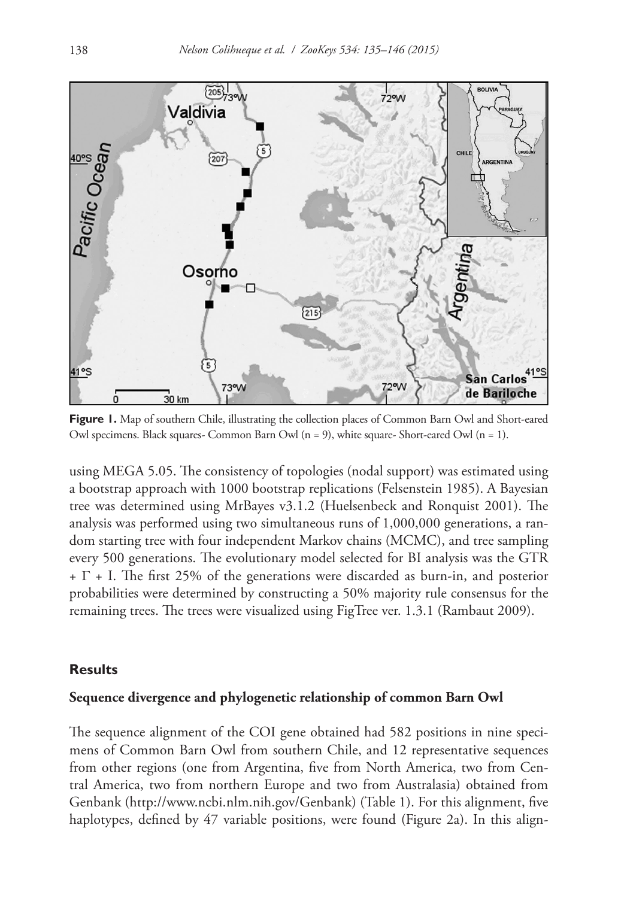

Figure 1. Map of southern Chile, illustrating the collection places of Common Barn Owl and Short-eared Owl specimens. Black squares- Common Barn Owl  $(n = 9)$ , white square- Short-eared Owl  $(n = 1)$ .

using MEGA 5.05. The consistency of topologies (nodal support) was estimated using a bootstrap approach with 1000 bootstrap replications (Felsenstein 1985). A Bayesian tree was determined using MrBayes v3.1.2 (Huelsenbeck and Ronquist 2001). The analysis was performed using two simultaneous runs of 1,000,000 generations, a random starting tree with four independent Markov chains (MCMC), and tree sampling every 500 generations. The evolutionary model selected for BI analysis was the GTR  $+ \Gamma$  + I. The first 25% of the generations were discarded as burn-in, and posterior probabilities were determined by constructing a 50% majority rule consensus for the remaining trees. The trees were visualized using FigTree ver. 1.3.1 (Rambaut 2009).

## **Results**

#### **Sequence divergence and phylogenetic relationship of common Barn Owl**

The sequence alignment of the COI gene obtained had 582 positions in nine specimens of Common Barn Owl from southern Chile, and 12 representative sequences from other regions (one from Argentina, five from North America, two from Central America, two from northern Europe and two from Australasia) obtained from Genbank [\(http://www.ncbi.nlm.nih.gov/Genbank](http://www.ncbi.nlm.nih.gov/Genbank)) (Table 1). For this alignment, five haplotypes, defined by 47 variable positions, were found (Figure 2a). In this align-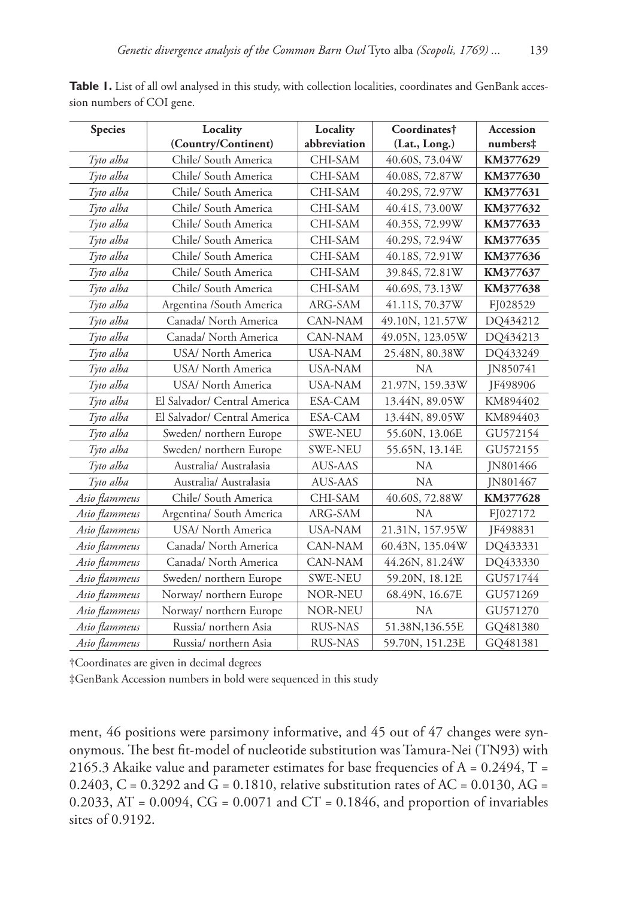| <b>Species</b> | Locality                     | Locality       | Coordinates†    | Accession                  |
|----------------|------------------------------|----------------|-----------------|----------------------------|
|                | (Country/Continent)          | abbreviation   | (Lat., Long.)   | $\textsf{numbers}\ddagger$ |
| Tyto alba      | Chile/ South America         | CHI-SAM        | 40.60S, 73.04W  | KM377629                   |
| Tyto alba      | Chile/ South America         | CHI-SAM        | 40.08S, 72.87W  | KM377630                   |
| Tyto alba      | Chile/ South America         | CHI-SAM        | 40.29S, 72.97W  | KM377631                   |
| Tyto alba      | Chile/ South America         | CHI-SAM        | 40.41S, 73.00W  | KM377632                   |
| Tyto alba      | Chile/ South America         | CHI-SAM        | 40.35S, 72.99W  | KM377633                   |
| Tyto alba      | Chile/ South America         | CHI-SAM        | 40.29S, 72.94W  | KM377635                   |
| Tyto alba      | Chile/ South America         | CHI-SAM        | 40.18S, 72.91W  | KM377636                   |
| Tyto alba      | Chile/ South America         | CHI-SAM        | 39.84S, 72.81W  | KM377637                   |
| Tyto alba      | Chile/ South America         | CHI-SAM        | 40.69S, 73.13W  | KM377638                   |
| Tyto alba      | Argentina /South America     | ARG-SAM        | 41.11S, 70.37W  | FJ028529                   |
| Tyto alba      | Canada/ North America        | CAN-NAM        | 49.10N, 121.57W | DQ434212                   |
| Tyto alba      | Canada/ North America        | CAN-NAM        | 49.05N, 123.05W | DQ434213                   |
| Tyto alba      | USA/ North America           | <b>USA-NAM</b> | 25.48N, 80.38W  | DQ433249                   |
| Tyto alba      | USA/ North America           | <b>USA-NAM</b> | <b>NA</b>       | JN850741                   |
| Tyto alba      | USA/ North America           | <b>USA-NAM</b> | 21.97N, 159.33W | JF498906                   |
| Tyto alba      | El Salvador/ Central America | ESA-CAM        | 13.44N, 89.05W  | KM894402                   |
| Tyto alba      | El Salvador/ Central America | ESA-CAM        | 13.44N, 89.05W  | KM894403                   |
| Tyto alba      | Sweden/ northern Europe      | <b>SWE-NEU</b> | 55.60N, 13.06E  | GU572154                   |
| Tyto alba      | Sweden/ northern Europe      | <b>SWE-NEU</b> | 55.65N, 13.14E  | GU572155                   |
| Tyto alba      | Australia/ Australasia       | AUS-AAS        | NA              | IN801466                   |
| Tyto alba      | Australia/ Australasia       | AUS-AAS        | <b>NA</b>       | JN801467                   |
| Asio flammeus  | Chile/ South America         | CHI-SAM        | 40.60S, 72.88W  | KM377628                   |
| Asio flammeus  | Argentina/ South America     | ARG-SAM        | <b>NA</b>       | FJ027172                   |
| Asio flammeus  | USA/ North America           | <b>USA-NAM</b> | 21.31N, 157.95W | JF498831                   |
| Asio flammeus  | Canada/ North America        | <b>CAN-NAM</b> | 60.43N, 135.04W | DQ433331                   |
| Asio flammeus  | Canada/ North America        | CAN-NAM        | 44.26N, 81.24W  | DQ433330                   |
| Asio flammeus  | Sweden/ northern Europe      | <b>SWE-NEU</b> | 59.20N, 18.12E  | GU571744                   |
| Asio flammeus  | Norway/ northern Europe      | NOR-NEU        | 68.49N, 16.67E  | GU571269                   |
| Asio flammeus  | Norway/ northern Europe      | <b>NOR-NEU</b> | <b>NA</b>       | GU571270                   |
| Asio flammeus  | Russia/ northern Asia        | <b>RUS-NAS</b> | 51.38N,136.55E  | GQ481380                   |
| Asio flammeus  | Russia/ northern Asia        | <b>RUS-NAS</b> | 59.70N, 151.23E | GQ481381                   |

Table 1. List of all owl analysed in this study, with collection localities, coordinates and GenBank accession numbers of COI gene.

†Coordinates are given in decimal degrees

‡GenBank Accession numbers in bold were sequenced in this study

ment, 46 positions were parsimony informative, and 45 out of 47 changes were synonymous. The best fit-model of nucleotide substitution was Tamura-Nei (TN93) with 2165.3 Akaike value and parameter estimates for base frequencies of  $A = 0.2494$ ,  $T =$ 0.2403, C = 0.3292 and G = 0.1810, relative substitution rates of AC = 0.0130, AG = 0.2033, AT = 0.0094,  $CG = 0.0071$  and  $CT = 0.1846$ , and proportion of invariables sites of 0.9192.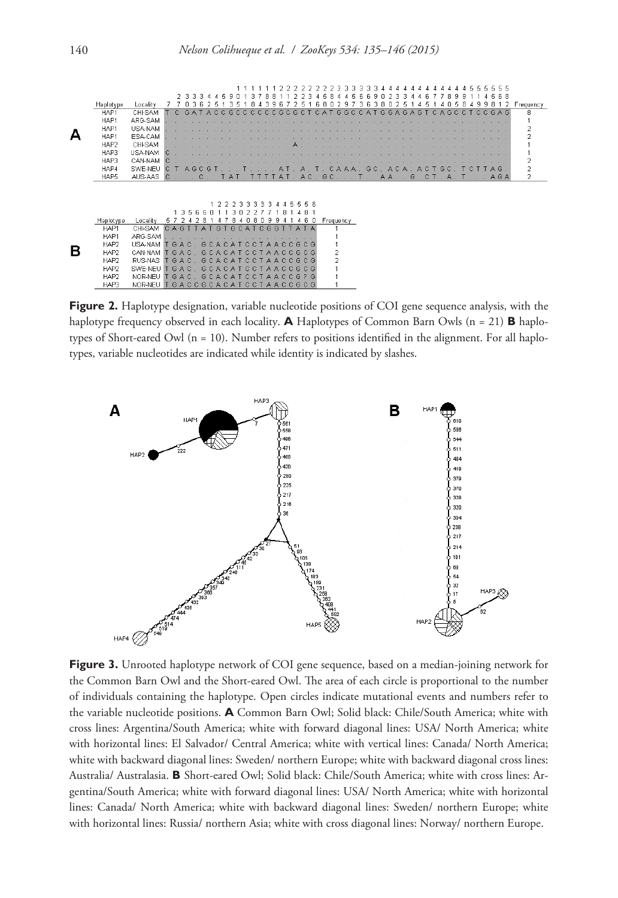|   | Haplotype | Locality |              |     |     |    |     |     |            |     |        |      |        |     |       |                      | 8       |                |     |       |         | я |                 |    |     |   |     |               | 8  | q | 8      | Frequency      |
|---|-----------|----------|--------------|-----|-----|----|-----|-----|------------|-----|--------|------|--------|-----|-------|----------------------|---------|----------------|-----|-------|---------|---|-----------------|----|-----|---|-----|---------------|----|---|--------|----------------|
|   | HAP1      | CHI-SAM  |              |     | G   |    | А   |     |            | G C | $\cap$ | C.C. | $\cap$ |     | CGCGC |                      | $C$ A T |                | GGC |       | r.<br>Δ | G | GA <sub>G</sub> | A  | G   | ◠ |     | A G C         | C. |   | CCGAG  | 8              |
|   | HAP1      | ARG-SAM  |              |     |     |    |     |     |            |     |        |      |        |     |       |                      |         |                |     |       |         |   |                 |    |     |   |     |               |    |   |        |                |
|   | HAP1      | USA-NAM  |              |     |     |    |     |     |            |     |        |      |        |     |       |                      |         |                |     |       |         |   |                 |    |     |   |     |               |    |   |        | 2              |
|   | HAP1      | ESA-CAM  |              |     |     |    |     |     |            |     |        |      |        |     |       |                      |         |                |     |       |         |   |                 |    |     |   |     |               |    |   |        |                |
|   | HAP2      | CHI-SAM  |              |     |     |    |     |     |            |     |        |      |        |     |       |                      |         |                |     |       |         |   |                 |    |     |   |     |               |    |   |        |                |
|   | HAP3      | USA-NAM  |              |     |     |    |     |     |            |     |        |      |        |     |       |                      |         |                |     |       |         |   |                 |    |     |   |     |               |    |   |        |                |
|   | HAP3      | CAN-NAM  |              |     |     |    |     |     |            |     |        |      |        |     |       |                      |         |                |     |       |         |   |                 |    |     |   |     |               |    |   |        | $\overline{2}$ |
|   | HAP4      | SWE-NEU  | $\mathbb{C}$ |     | A G |    | G   |     |            |     |        |      |        |     |       | А                    |         | CAA            |     | $A$ . |         |   | GC. ACA.        |    | A C |   | GC. |               |    |   | CTTAG. | 2              |
|   | HAP5      | AUS-AAS  | $\mathbb{C}$ |     |     |    |     |     | <b>TAT</b> |     |        |      |        |     |       | AT. AC. GC           |         |                |     |       |         |   | $A A$ .         | G. | тC. |   |     | $T \cdot A$ . |    |   | AGA    | $\overline{2}$ |
|   |           |          |              |     |     |    |     |     |            |     |        |      |        |     |       |                      |         |                |     |       |         |   |                 |    |     |   |     |               |    |   |        |                |
|   |           |          |              |     |     |    |     |     |            |     |        |      |        |     |       |                      |         |                |     |       |         |   |                 |    |     |   |     |               |    |   |        |                |
|   |           |          |              |     |     |    |     |     |            |     | ٩<br>в | э    |        |     |       | 5 B<br>д             |         |                |     |       |         |   |                 |    |     |   |     |               |    |   |        |                |
|   |           |          |              | -3  | -5  | 6. | -6  |     |            | з   | 2      | 2    |        |     |       | я                    |         |                |     |       |         |   |                 |    |     |   |     |               |    |   |        |                |
|   | Haplotype | Locality | 5.           |     |     |    |     |     |            |     |        |      |        |     |       | 6                    |         | Frequency      |     |       |         |   |                 |    |     |   |     |               |    |   |        |                |
|   | HAP1      | CHI-SAM  | CAG          |     |     |    | A T | GT  |            |     | GCAT   |      |        |     |       | CGGTTATA             |         |                |     |       |         |   |                 |    |     |   |     |               |    |   |        |                |
|   | HAP1      | ARG-SAM  |              |     |     |    |     |     |            |     |        |      |        |     |       |                      |         |                |     |       |         |   |                 |    |     |   |     |               |    |   |        |                |
|   | HAP2      | USA-NAM  |              |     | GAC |    | GCA |     | CAT        |     | C.     | IC T |        | AA  |       | CCGCG                |         |                |     |       |         |   |                 |    |     |   |     |               |    |   |        |                |
| В | HAP2      | CAN-NAM  |              | GAC |     |    | G   | A   | <b>C</b>   |     |        |      |        | A   |       | C C G C G            |         | 2              |     |       |         |   |                 |    |     |   |     |               |    |   |        |                |
|   | HAP2      | RUS-NAS  |              |     | GAC |    | G   | CA. | <b>CAT</b> |     | C.     |      |        | A A |       | CCGCG                |         | $\overline{2}$ |     |       |         |   |                 |    |     |   |     |               |    |   |        |                |
|   | HAP2      | SWE-NEU  |              | GAC |     |    | G   | Δ.  |            |     |        |      | A      | л.  |       | GCG                  |         |                |     |       |         |   |                 |    |     |   |     |               |    |   |        |                |
|   | HAP2      | NOR-NEU  |              |     | GAC |    | GCA |     | C A T      |     | C.     |      |        |     |       | AACCG?G              |         |                |     |       |         |   |                 |    |     |   |     |               |    |   |        |                |
|   | HAP3      | NOR-NEU  |              |     |     |    |     |     |            |     |        |      |        |     |       | GACCGCACATCCTAACCGCG |         |                |     |       |         |   |                 |    |     |   |     |               |    |   |        |                |
|   |           |          |              |     |     |    |     |     |            |     |        |      |        |     |       |                      |         |                |     |       |         |   |                 |    |     |   |     |               |    |   |        |                |

**Figure 2.** Haplotype designation, variable nucleotide positions of COI gene sequence analysis, with the haplotype frequency observed in each locality. **A** Haplotypes of Common Barn Owls (n = 21) **B** haplotypes of Short-eared Owl  $(n = 10)$ . Number refers to positions identified in the alignment. For all haplotypes, variable nucleotides are indicated while identity is indicated by slashes.



**Figure 3.** Unrooted haplotype network of COI gene sequence, based on a median-joining network for the Common Barn Owl and the Short-eared Owl. The area of each circle is proportional to the number of individuals containing the haplotype. Open circles indicate mutational events and numbers refer to the variable nucleotide positions. **A** Common Barn Owl; Solid black: Chile/South America; white with cross lines: Argentina/South America; white with forward diagonal lines: USA/ North America; white with horizontal lines: El Salvador/ Central America; white with vertical lines: Canada/ North America; white with backward diagonal lines: Sweden/ northern Europe; white with backward diagonal cross lines: Australia/ Australasia. **B** Short-eared Owl; Solid black: Chile/South America; white with cross lines: Argentina/South America; white with forward diagonal lines: USA/ North America; white with horizontal lines: Canada/ North America; white with backward diagonal lines: Sweden/ northern Europe; white with horizontal lines: Russia/ northern Asia; white with cross diagonal lines: Norway/ northern Europe.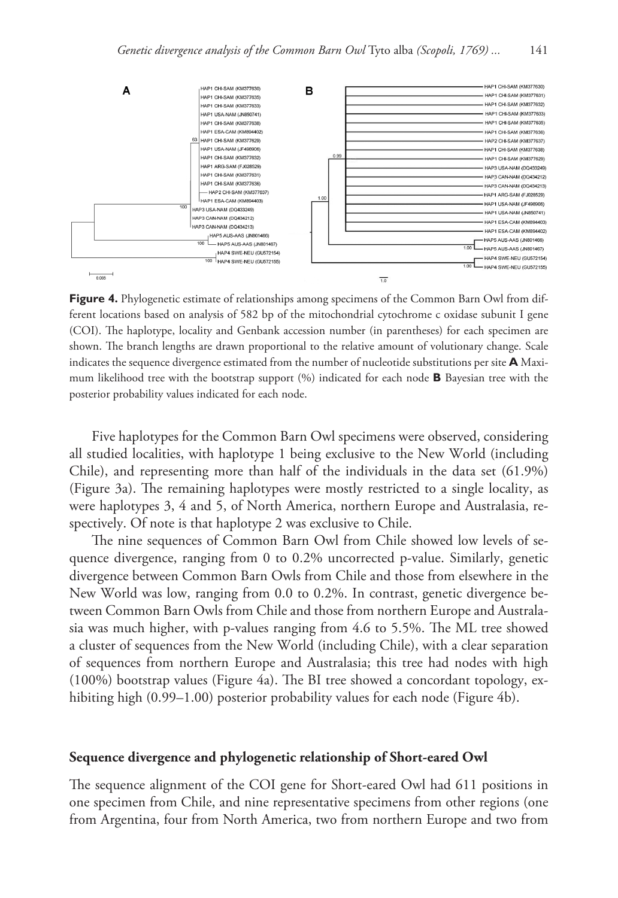

Figure 4. Phylogenetic estimate of relationships among specimens of the Common Barn Owl from different locations based on analysis of 582 bp of the mitochondrial cytochrome c oxidase subunit I gene (COI). The haplotype, locality and Genbank accession number (in parentheses) for each specimen are shown. The branch lengths are drawn proportional to the relative amount of volutionary change. Scale indicates the sequence divergence estimated from the number of nucleotide substitutions per site **A** Maximum likelihood tree with the bootstrap support (%) indicated for each node **B** Bayesian tree with the posterior probability values indicated for each node.

Five haplotypes for the Common Barn Owl specimens were observed, considering all studied localities, with haplotype 1 being exclusive to the New World (including Chile), and representing more than half of the individuals in the data set (61.9%) (Figure 3a). The remaining haplotypes were mostly restricted to a single locality, as were haplotypes 3, 4 and 5, of North America, northern Europe and Australasia, respectively. Of note is that haplotype 2 was exclusive to Chile.

The nine sequences of Common Barn Owl from Chile showed low levels of sequence divergence, ranging from 0 to 0.2% uncorrected p-value. Similarly, genetic divergence between Common Barn Owls from Chile and those from elsewhere in the New World was low, ranging from 0.0 to 0.2%. In contrast, genetic divergence between Common Barn Owls from Chile and those from northern Europe and Australasia was much higher, with p-values ranging from 4.6 to 5.5%. The ML tree showed a cluster of sequences from the New World (including Chile), with a clear separation of sequences from northern Europe and Australasia; this tree had nodes with high (100%) bootstrap values (Figure 4a). The BI tree showed a concordant topology, exhibiting high (0.99–1.00) posterior probability values for each node (Figure 4b).

#### **Sequence divergence and phylogenetic relationship of Short-eared Owl**

The sequence alignment of the COI gene for Short-eared Owl had 611 positions in one specimen from Chile, and nine representative specimens from other regions (one from Argentina, four from North America, two from northern Europe and two from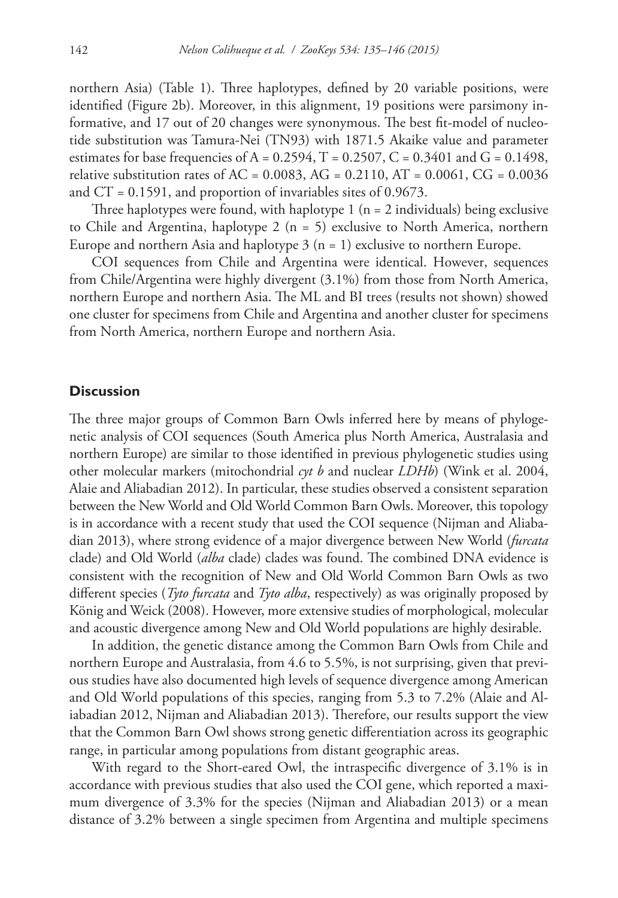northern Asia) (Table 1). Three haplotypes, defined by 20 variable positions, were identified (Figure 2b). Moreover, in this alignment, 19 positions were parsimony informative, and 17 out of 20 changes were synonymous. The best fit-model of nucleotide substitution was Tamura-Nei (TN93) with 1871.5 Akaike value and parameter estimates for base frequencies of A =  $0.2594$ , T =  $0.2507$ , C =  $0.3401$  and G =  $0.1498$ , relative substitution rates of AC =  $0.0083$ , AG =  $0.2110$ , AT =  $0.0061$ , CG =  $0.0036$ and  $CT = 0.1591$ , and proportion of invariables sites of 0.9673.

Three haplotypes were found, with haplotype  $1$  ( $n = 2$  individuals) being exclusive to Chile and Argentina, haplotype 2 (n = 5) exclusive to North America, northern Europe and northern Asia and haplotype  $3$  (n = 1) exclusive to northern Europe.

COI sequences from Chile and Argentina were identical. However, sequences from Chile/Argentina were highly divergent (3.1%) from those from North America, northern Europe and northern Asia. The ML and BI trees (results not shown) showed one cluster for specimens from Chile and Argentina and another cluster for specimens from North America, northern Europe and northern Asia.

#### **Discussion**

The three major groups of Common Barn Owls inferred here by means of phylogenetic analysis of COI sequences (South America plus North America, Australasia and northern Europe) are similar to those identified in previous phylogenetic studies using other molecular markers (mitochondrial *cyt b* and nuclear *LDHb*) (Wink et al. 2004, Alaie and Aliabadian 2012). In particular, these studies observed a consistent separation between the New World and Old World Common Barn Owls. Moreover, this topology is in accordance with a recent study that used the COI sequence (Nijman and Aliabadian 2013), where strong evidence of a major divergence between New World (*furcata* clade) and Old World (*alba* clade) clades was found. The combined DNA evidence is consistent with the recognition of New and Old World Common Barn Owls as two different species (*Tyto furcata* and *Tyto alba*, respectively) as was originally proposed by König and Weick (2008). However, more extensive studies of morphological, molecular and acoustic divergence among New and Old World populations are highly desirable.

In addition, the genetic distance among the Common Barn Owls from Chile and northern Europe and Australasia, from 4.6 to 5.5%, is not surprising, given that previous studies have also documented high levels of sequence divergence among American and Old World populations of this species, ranging from 5.3 to 7.2% (Alaie and Aliabadian 2012, Nijman and Aliabadian 2013). Therefore, our results support the view that the Common Barn Owl shows strong genetic differentiation across its geographic range, in particular among populations from distant geographic areas.

With regard to the Short-eared Owl, the intraspecific divergence of 3.1% is in accordance with previous studies that also used the COI gene, which reported a maximum divergence of 3.3% for the species (Nijman and Aliabadian 2013) or a mean distance of 3.2% between a single specimen from Argentina and multiple specimens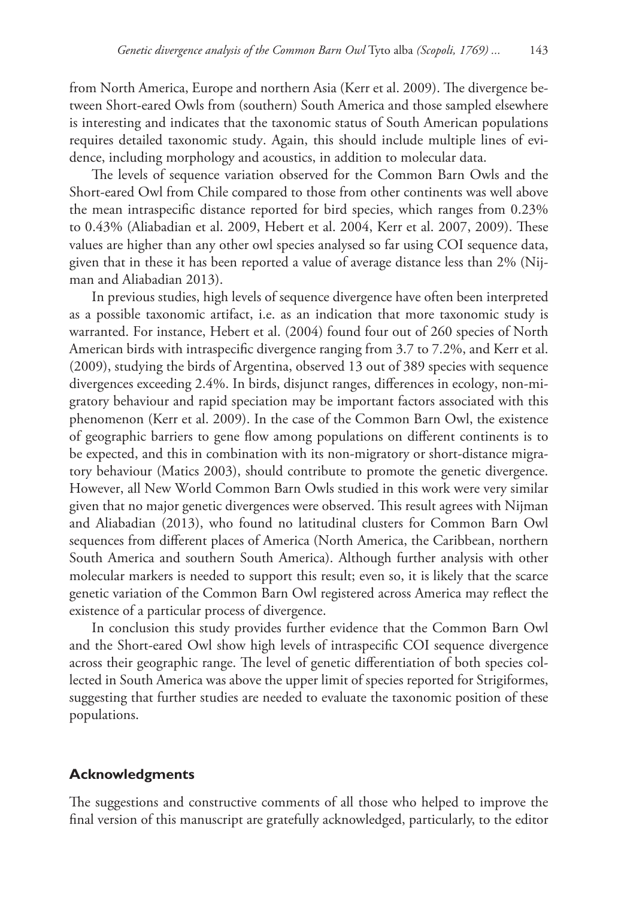from North America, Europe and northern Asia (Kerr et al. 2009). The divergence between Short-eared Owls from (southern) South America and those sampled elsewhere is interesting and indicates that the taxonomic status of South American populations requires detailed taxonomic study. Again, this should include multiple lines of evidence, including morphology and acoustics, in addition to molecular data.

The levels of sequence variation observed for the Common Barn Owls and the Short-eared Owl from Chile compared to those from other continents was well above the mean intraspecific distance reported for bird species, which ranges from 0.23% to 0.43% (Aliabadian et al. 2009, Hebert et al. 2004, Kerr et al. 2007, 2009). These values are higher than any other owl species analysed so far using COI sequence data, given that in these it has been reported a value of average distance less than 2% (Nijman and Aliabadian 2013).

In previous studies, high levels of sequence divergence have often been interpreted as a possible taxonomic artifact, i.e. as an indication that more taxonomic study is warranted. For instance, Hebert et al. (2004) found four out of 260 species of North American birds with intraspecific divergence ranging from 3.7 to 7.2%, and Kerr et al. (2009), studying the birds of Argentina, observed 13 out of 389 species with sequence divergences exceeding 2.4%. In birds, disjunct ranges, differences in ecology, non-migratory behaviour and rapid speciation may be important factors associated with this phenomenon (Kerr et al. 2009). In the case of the Common Barn Owl, the existence of geographic barriers to gene flow among populations on different continents is to be expected, and this in combination with its non-migratory or short-distance migratory behaviour (Matics 2003), should contribute to promote the genetic divergence. However, all New World Common Barn Owls studied in this work were very similar given that no major genetic divergences were observed. This result agrees with Nijman and Aliabadian (2013), who found no latitudinal clusters for Common Barn Owl sequences from different places of America (North America, the Caribbean, northern South America and southern South America). Although further analysis with other molecular markers is needed to support this result; even so, it is likely that the scarce genetic variation of the Common Barn Owl registered across America may reflect the existence of a particular process of divergence.

In conclusion this study provides further evidence that the Common Barn Owl and the Short-eared Owl show high levels of intraspecific COI sequence divergence across their geographic range. The level of genetic differentiation of both species collected in South America was above the upper limit of species reported for Strigiformes, suggesting that further studies are needed to evaluate the taxonomic position of these populations.

#### **Acknowledgments**

The suggestions and constructive comments of all those who helped to improve the final version of this manuscript are gratefully acknowledged, particularly, to the editor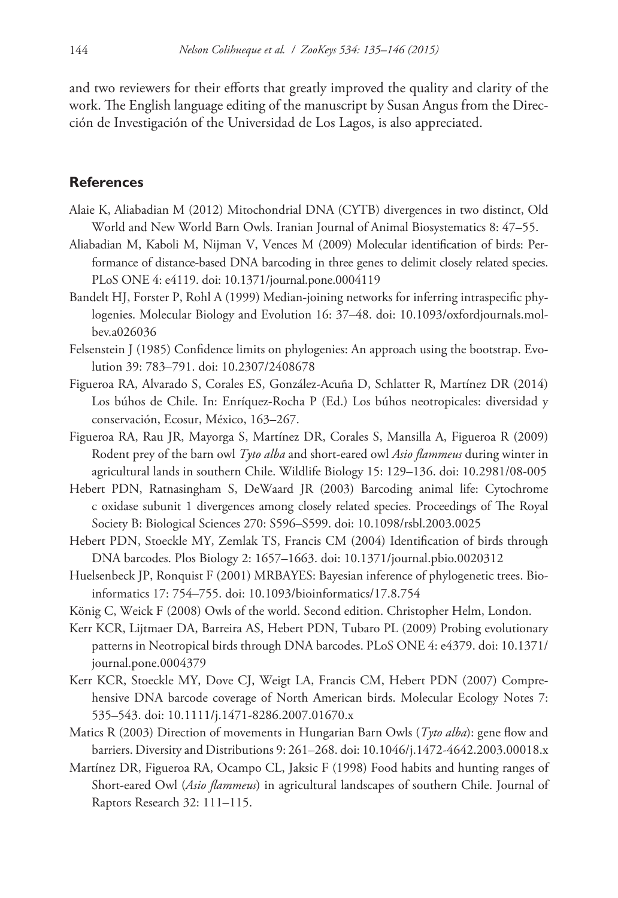and two reviewers for their efforts that greatly improved the quality and clarity of the work. The English language editing of the manuscript by Susan Angus from the Dirección de Investigación of the Universidad de Los Lagos, is also appreciated.

#### **References**

- Alaie K, Aliabadian M (2012) Mitochondrial DNA (CYTB) divergences in two distinct, Old World and New World Barn Owls. Iranian Journal of Animal Biosystematics 8: 47–55.
- Aliabadian M, Kaboli M, Nijman V, Vences M (2009) Molecular identification of birds: Performance of distance-based DNA barcoding in three genes to delimit closely related species. PLoS ONE 4: e4119. [doi: 10.1371/journal.pone.0004119](http://dx.doi.org/10.1371/journal.pone.0004119)
- Bandelt HJ, Forster P, Rohl A (1999) Median-joining networks for inferring intraspecific phylogenies. Molecular Biology and Evolution 16: 37–48. [doi: 10.1093/oxfordjournals.mol](http://dx.doi.org/10.1093/oxfordjournals.molbev.a026036)[bev.a026036](http://dx.doi.org/10.1093/oxfordjournals.molbev.a026036)
- Felsenstein J (1985) Confidence limits on phylogenies: An approach using the bootstrap. Evolution 39: 783–791. [doi: 10.2307/2408678](http://dx.doi.org/10.2307/2408678)
- Figueroa RA, Alvarado S, Corales ES, González-Acuña D, Schlatter R, Martínez DR (2014) Los búhos de Chile. In: Enríquez-Rocha P (Ed.) Los búhos neotropicales: diversidad y conservación, Ecosur, México, 163–267.
- Figueroa RA, Rau JR, Mayorga S, Martínez DR, Corales S, Mansilla A, Figueroa R (2009) Rodent prey of the barn owl *Tyto alba* and short-eared owl *Asio flammeus* during winter in agricultural lands in southern Chile. Wildlife Biology 15: 129–136. [doi: 10.2981/08-005](http://dx.doi.org/10.2981/08-005)
- Hebert PDN, Ratnasingham S, DeWaard JR (2003) Barcoding animal life: Cytochrome c oxidase subunit 1 divergences among closely related species. Proceedings of The Royal Society B: Biological Sciences 270: S596–S599. [doi: 10.1098/rsbl.2003.0025](http://dx.doi.org/10.1098/rsbl.2003.0025)
- Hebert PDN, Stoeckle MY, Zemlak TS, Francis CM (2004) Identification of birds through DNA barcodes. Plos Biology 2: 1657–1663. [doi: 10.1371/journal.pbio.0020312](http://dx.doi.org/10.1371/journal.pbio.0020312)
- Huelsenbeck JP, Ronquist F (2001) MRBAYES: Bayesian inference of phylogenetic trees. Bioinformatics 17: 754–755. [doi: 10.1093/bioinformatics/17.8.754](http://dx.doi.org/10.1093/bioinformatics/17.8.754)
- König C, Weick F (2008) Owls of the world. Second edition. Christopher Helm, London.
- Kerr KCR, Lijtmaer DA, Barreira AS, Hebert PDN, Tubaro PL (2009) Probing evolutionary patterns in Neotropical birds through DNA barcodes. PLoS ONE 4: e4379. [doi: 10.1371/](http://dx.doi.org/10.1371/journal.pone.0004379) [journal.pone.0004379](http://dx.doi.org/10.1371/journal.pone.0004379)
- Kerr KCR, Stoeckle MY, Dove CJ, Weigt LA, Francis CM, Hebert PDN (2007) Comprehensive DNA barcode coverage of North American birds. Molecular Ecology Notes 7: 535–543. [doi: 10.1111/j.1471-8286.2007.01670.x](http://dx.doi.org/10.1111/j.1471-8286.2007.01670.x)
- Matics R (2003) Direction of movements in Hungarian Barn Owls (*Tyto alba*): gene flow and barriers. Diversity and Distributions 9: 261–268. [doi: 10.1046/j.1472-4642.2003.00018.x](http://dx.doi.org/10.1046/j.1472-4642.2003.00018.x)
- Martínez DR, Figueroa RA, Ocampo CL, Jaksic F (1998) Food habits and hunting ranges of Short-eared Owl (*Asio flammeus*) in agricultural landscapes of southern Chile. Journal of Raptors Research 32: 111–115.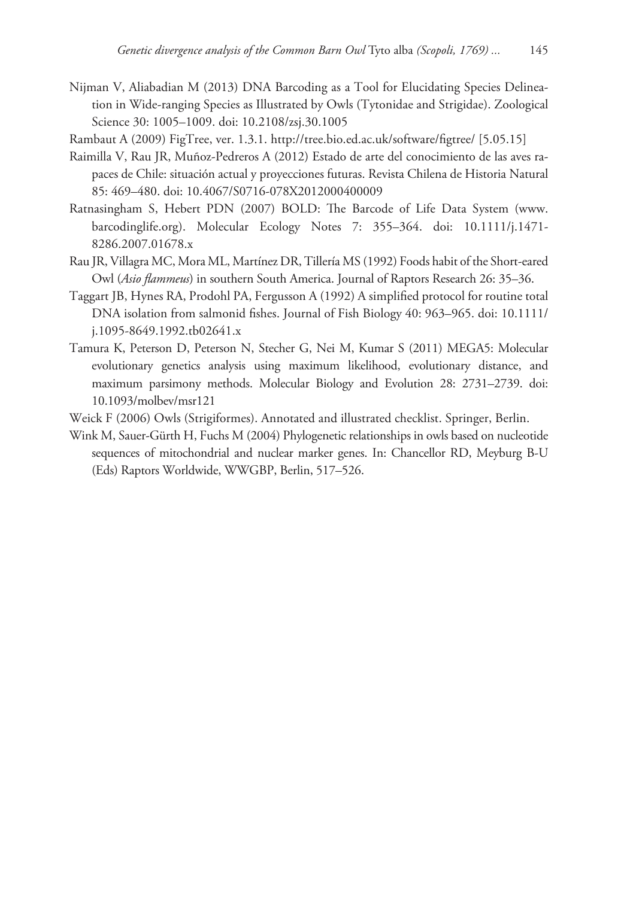- Nijman V, Aliabadian M (2013) DNA Barcoding as a Tool for Elucidating Species Delineation in Wide-ranging Species as Illustrated by Owls (Tytonidae and Strigidae). Zoological Science 30: 1005–1009. [doi: 10.2108/zsj.30.1005](http://dx.doi.org/10.2108/zsj.30.1005)
- Rambaut A (2009) FigTree, ver. 1.3.1.<http://tree.bio.ed.ac.uk/software/figtree/>[5.05.15]
- Raimilla V, Rau JR, Muñoz-Pedreros A (2012) Estado de arte del conocimiento de las aves rapaces de Chile: situación actual y proyecciones futuras. Revista Chilena de Historia Natural 85: 469–480. [doi: 10.4067/S0716-078X2012000400009](http://dx.doi.org/10.4067/S0716-078X2012000400009)
- Ratnasingham S, Hebert PDN (2007) BOLD: The Barcode of Life Data System [\(www.](http://www.barcodinglife.org) [barcodinglife.org](http://www.barcodinglife.org)). Molecular Ecology Notes 7: 355–364. [doi: 10.1111/j.1471-](http://dx.doi.org/10.1111/j.1471-8286.2007.01678.x) [8286.2007.01678.x](http://dx.doi.org/10.1111/j.1471-8286.2007.01678.x)
- Rau JR, Villagra MC, Mora ML, Martínez DR, Tillería MS (1992) Foods habit of the Short-eared Owl (*Asio flammeus*) in southern South America. Journal of Raptors Research 26: 35–36.
- Taggart JB, Hynes RA, Prodohl PA, Fergusson A (1992) A simplified protocol for routine total DNA isolation from salmonid fishes. Journal of Fish Biology 40: 963–965. [doi: 10.1111/](http://dx.doi.org/10.1111/j.1095-8649.1992.tb02641.x) [j.1095-8649.1992.tb02641.x](http://dx.doi.org/10.1111/j.1095-8649.1992.tb02641.x)
- Tamura K, Peterson D, Peterson N, Stecher G, Nei M, Kumar S (2011) MEGA5: Molecular evolutionary genetics analysis using maximum likelihood, evolutionary distance, and maximum parsimony methods. Molecular Biology and Evolution 28: 2731–2739. [doi:](http://dx.doi.org/10.1093/molbev/msr121) [10.1093/molbev/msr121](http://dx.doi.org/10.1093/molbev/msr121)
- Weick F (2006) Owls (Strigiformes). Annotated and illustrated checklist. Springer, Berlin.
- Wink M, Sauer-Gürth H, Fuchs M (2004) Phylogenetic relationships in owls based on nucleotide sequences of mitochondrial and nuclear marker genes. In: Chancellor RD, Meyburg B-U (Eds) Raptors Worldwide, WWGBP, Berlin, 517–526.